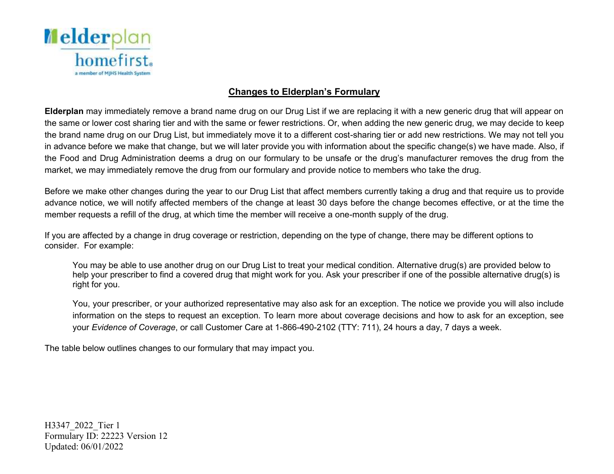

## **Changes to Elderplan's Formulary**

 **Elderplan** may immediately remove a brand name drug on our Drug List if we are replacing it with a new generic drug that will appear on the same or lower cost sharing tier and with the same or fewer restrictions. Or, when adding the new generic drug, we may decide to keep the brand name drug on our Drug List, but immediately move it to a different cost-sharing tier or add new restrictions. We may not tell you in advance before we make that change, but we will later provide you with information about the specific change(s) we have made. Also, if the Food and Drug Administration deems a drug on our formulary to be unsafe or the drug's manufacturer removes the drug from the market, we may immediately remove the drug from our formulary and provide notice to members who take the drug.

 Before we make other changes during the year to our Drug List that affect members currently taking a drug and that require us to provide advance notice, we will notify affected members of the change at least 30 days before the change becomes effective, or at the time the member requests a refill of the drug, at which time the member will receive a one-month supply of the drug.

 If you are affected by a change in drug coverage or restriction, depending on the type of change, there may be different options to consider. For example:

 You may be able to use another drug on our Drug List to treat your medical condition. Alternative drug(s) are provided below to help your prescriber to find a covered drug that might work for you. Ask your prescriber if one of the possible alternative drug(s) is right for you.

 You, your prescriber, or your authorized representative may also ask for an exception. The notice we provide you will also include information on the steps to request an exception. To learn more about coverage decisions and how to ask for an exception, see  your *Evidence of Coverage*, or call Customer Care at 1-866-490-2102 (TTY: 711), 24 hours a day, 7 days a week.

The table below outlines changes to our formulary that may impact you.

H3347\_2022\_Tier 1 Formulary ID: 22223 Version 12 Updated: 06/01/2022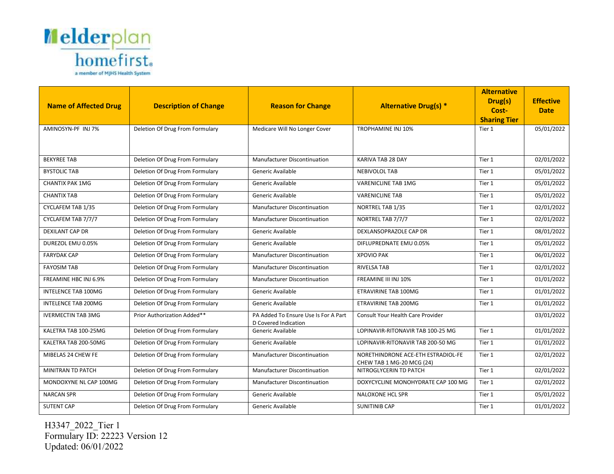

|                              |                                 |                                                              |                                                     | <b>Alternative</b>           |                  |
|------------------------------|---------------------------------|--------------------------------------------------------------|-----------------------------------------------------|------------------------------|------------------|
| <b>Name of Affected Drug</b> | <b>Description of Change</b>    | <b>Reason for Change</b>                                     | <b>Alternative Drug(s) *</b>                        | Drug(s)                      | <b>Effective</b> |
|                              |                                 |                                                              |                                                     | Cost-<br><b>Sharing Tier</b> | <b>Date</b>      |
| AMINOSYN-PF INJ 7%           | Deletion Of Drug From Formulary | Medicare Will No Longer Cover                                | <b>TROPHAMINE INJ 10%</b>                           | Tier 1                       | 05/01/2022       |
|                              |                                 |                                                              |                                                     |                              |                  |
|                              |                                 |                                                              |                                                     |                              |                  |
| <b>BEKYREE TAB</b>           | Deletion Of Drug From Formulary | Manufacturer Discontinuation                                 | <b>KARIVA TAB 28 DAY</b>                            | Tier 1                       | 02/01/2022       |
| <b>BYSTOLIC TAB</b>          | Deletion Of Drug From Formulary | Generic Available                                            | <b>NEBIVOLOL TAB</b>                                | Tier 1                       | 05/01/2022       |
| <b>CHANTIX PAK 1MG</b>       | Deletion Of Drug From Formulary | Generic Available                                            | <b>VARENICLINE TAB 1MG</b>                          | Tier 1                       | 05/01/2022       |
| <b>CHANTIX TAB</b>           | Deletion Of Drug From Formulary | Generic Available                                            | <b>VARENICLINE TAB</b>                              | Tier 1                       | 05/01/2022       |
| CYCLAFEM TAB 1/35            | Deletion Of Drug From Formulary | Manufacturer Discontinuation                                 | NORTREL TAB 1/35                                    | Tier 1                       | 02/01/2022       |
| CYCLAFEM TAB 7/7/7           | Deletion Of Drug From Formulary | Manufacturer Discontinuation                                 | NORTREL TAB 7/7/7                                   | Tier 1                       | 02/01/2022       |
| <b>DEXILANT CAP DR</b>       | Deletion Of Drug From Formulary | Generic Available                                            | DEXLANSOPRAZOLE CAP DR                              | Tier 1                       | 08/01/2022       |
| DUREZOL EMU 0.05%            | Deletion Of Drug From Formulary | Generic Available                                            | DIFLUPREDNATE EMU 0.05%                             | Tier 1                       | 05/01/2022       |
| <b>FARYDAK CAP</b>           | Deletion Of Drug From Formulary | Manufacturer Discontinuation                                 | <b>XPOVIO PAK</b>                                   | Tier 1                       | 06/01/2022       |
| <b>FAYOSIM TAB</b>           | Deletion Of Drug From Formulary | Manufacturer Discontinuation                                 | <b>RIVELSA TAB</b>                                  | Tier 1                       | 02/01/2022       |
| FREAMINE HBC INJ 6.9%        | Deletion Of Drug From Formulary | Manufacturer Discontinuation                                 | FREAMINE III INJ 10%                                | Tier 1                       | 01/01/2022       |
| <b>INTELENCE TAB 100MG</b>   | Deletion Of Drug From Formulary | Generic Available                                            | <b>ETRAVIRINE TAB 100MG</b>                         | Tier 1                       | 01/01/2022       |
| <b>INTELENCE TAB 200MG</b>   | Deletion Of Drug From Formulary | Generic Available                                            | ETRAVIRINE TAB 200MG                                | Tier 1                       | 01/01/2022       |
| <b>IVERMECTIN TAB 3MG</b>    | Prior Authorization Added**     | PA Added To Ensure Use Is For A Part<br>D Covered Indication | Consult Your Health Care Provider                   |                              | 03/01/2022       |
| KALETRA TAB 100-25MG         | Deletion Of Drug From Formulary | Generic Available                                            | LOPINAVIR-RITONAVIR TAB 100-25 MG                   | Tier 1                       | 01/01/2022       |
| KALETRA TAB 200-50MG         | Deletion Of Drug From Formulary | Generic Available                                            | LOPINAVIR-RITONAVIR TAB 200-50 MG                   | Tier 1                       | 01/01/2022       |
| MIBELAS 24 CHEW FE           | Deletion Of Drug From Formulary | Manufacturer Discontinuation                                 | NORETHINDRONE ACE-ETH ESTRADIOL-FE                  | Tier 1                       | 02/01/2022       |
| MINITRAN TD PATCH            | Deletion Of Drug From Formulary | Manufacturer Discontinuation                                 | CHEW TAB 1 MG-20 MCG (24)<br>NITROGLYCERIN TD PATCH | Tier 1                       | 02/01/2022       |
|                              |                                 |                                                              |                                                     |                              |                  |
| MONDOXYNE NL CAP 100MG       | Deletion Of Drug From Formulary | Manufacturer Discontinuation                                 | DOXYCYCLINE MONOHYDRATE CAP 100 MG                  | Tier 1                       | 02/01/2022       |
| <b>NARCAN SPR</b>            | Deletion Of Drug From Formulary | Generic Available                                            | NALOXONE HCL SPR                                    | Tier 1                       | 05/01/2022       |
| <b>SUTENT CAP</b>            | Deletion Of Drug From Formulary | Generic Available                                            | <b>SUNITINIB CAP</b>                                | Tier 1                       | 01/01/2022       |

H3347\_2022\_Tier 1 Formulary ID: 22223 Version 12 Updated: 06/01/2022